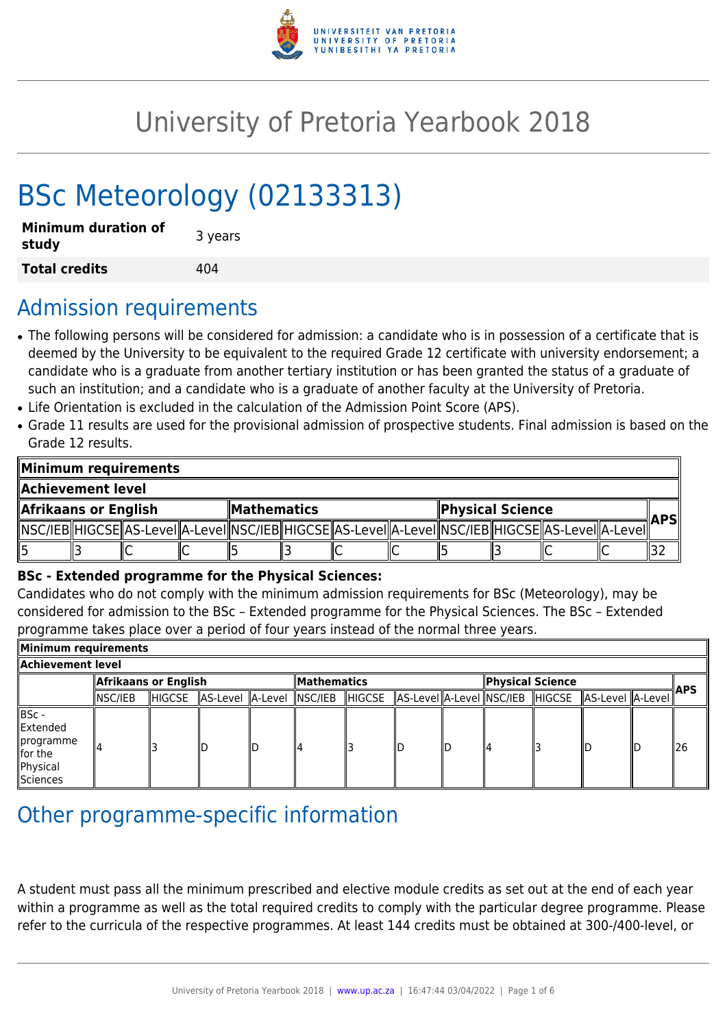

# University of Pretoria Yearbook 2018

# BSc Meteorology (02133313)

| <b>Minimum duration of</b><br>study | 3 years |
|-------------------------------------|---------|
| <b>Total credits</b>                | 404     |

# Admission requirements

- The following persons will be considered for admission: a candidate who is in possession of a certificate that is deemed by the University to be equivalent to the required Grade 12 certificate with university endorsement; a candidate who is a graduate from another tertiary institution or has been granted the status of a graduate of such an institution; and a candidate who is a graduate of another faculty at the University of Pretoria.
- Life Orientation is excluded in the calculation of the Admission Point Score (APS).
- Grade 11 results are used for the provisional admission of prospective students. Final admission is based on the Grade 12 results.

| Minimum requirements  |  |                                                                                                            |  |                            |  |  |  |                         |  |  |  |            |
|-----------------------|--|------------------------------------------------------------------------------------------------------------|--|----------------------------|--|--|--|-------------------------|--|--|--|------------|
| Achievement level.    |  |                                                                                                            |  |                            |  |  |  |                         |  |  |  |            |
| Afrikaans or English! |  |                                                                                                            |  | $\blacksquare$ Mathematics |  |  |  | <b>Physical Science</b> |  |  |  |            |
|                       |  | NSC/IEB  HIGCSE  AS-Level  A-Level  NSC/IEB  HIGCSE  AS-Level  A-Level  NSC/IEB  HIGCSE  AS-Level  A-Level |  |                            |  |  |  |                         |  |  |  | <b>APS</b> |
| 15                    |  |                                                                                                            |  |                            |  |  |  |                         |  |  |  |            |

#### **BSc - Extended programme for the Physical Sciences:**

Candidates who do not comply with the minimum admission requirements for BSc (Meteorology), may be considered for admission to the BSc – Extended programme for the Physical Sciences. The BSc – Extended programme takes place over a period of four years instead of the normal three years.

| Minimum requirements                                                       |                      |        |                  |     |                    |               |  |    |                                 |  |                    |  |      |
|----------------------------------------------------------------------------|----------------------|--------|------------------|-----|--------------------|---------------|--|----|---------------------------------|--|--------------------|--|------|
| Achievement level                                                          |                      |        |                  |     |                    |               |  |    |                                 |  |                    |  |      |
|                                                                            | Afrikaans or English |        |                  |     | <b>Mathematics</b> |               |  |    | Physical Science                |  |                    |  |      |
|                                                                            | NSC/IEB              | HIGCSE | AS-Level A-Level |     | $ $ NSC/IEB        | <b>HIGCSE</b> |  |    | AS-Level A-Level NSC/IEB HIGCSE |  | AS-Level   A-Level |  | ∦APS |
| ∥BSc -<br>llExtended<br>∥programme<br>$\ $ for the<br>Physical<br>Sciences |                      |        | IΓ               | llD |                    |               |  | ID | 114                             |  | llС                |  | ll26 |

# Other programme-specific information

A student must pass all the minimum prescribed and elective module credits as set out at the end of each year within a programme as well as the total required credits to comply with the particular degree programme. Please refer to the curricula of the respective programmes. At least 144 credits must be obtained at 300-/400-level, or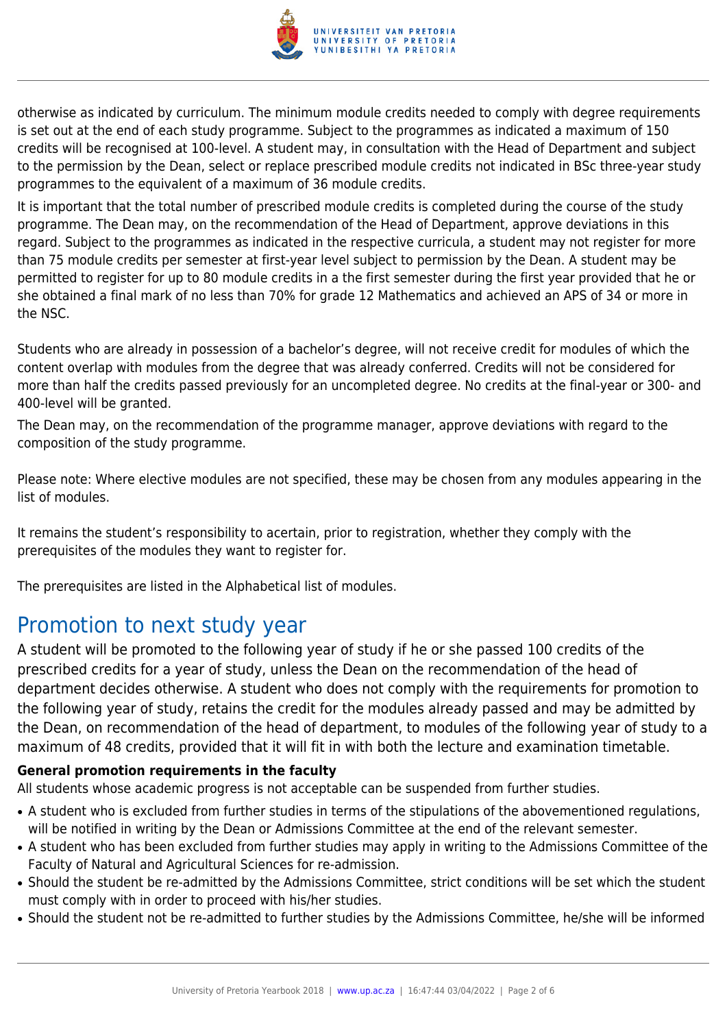

otherwise as indicated by curriculum. The minimum module credits needed to comply with degree requirements is set out at the end of each study programme. Subject to the programmes as indicated a maximum of 150 credits will be recognised at 100-level. A student may, in consultation with the Head of Department and subject to the permission by the Dean, select or replace prescribed module credits not indicated in BSc three-year study programmes to the equivalent of a maximum of 36 module credits.

It is important that the total number of prescribed module credits is completed during the course of the study programme. The Dean may, on the recommendation of the Head of Department, approve deviations in this regard. Subject to the programmes as indicated in the respective curricula, a student may not register for more than 75 module credits per semester at first-year level subject to permission by the Dean. A student may be permitted to register for up to 80 module credits in a the first semester during the first year provided that he or she obtained a final mark of no less than 70% for grade 12 Mathematics and achieved an APS of 34 or more in the NSC.

Students who are already in possession of a bachelor's degree, will not receive credit for modules of which the content overlap with modules from the degree that was already conferred. Credits will not be considered for more than half the credits passed previously for an uncompleted degree. No credits at the final-year or 300- and 400-level will be granted.

The Dean may, on the recommendation of the programme manager, approve deviations with regard to the composition of the study programme.

Please note: Where elective modules are not specified, these may be chosen from any modules appearing in the list of modules.

It remains the student's responsibility to acertain, prior to registration, whether they comply with the prerequisites of the modules they want to register for.

The prerequisites are listed in the Alphabetical list of modules.

# Promotion to next study year

A student will be promoted to the following year of study if he or she passed 100 credits of the prescribed credits for a year of study, unless the Dean on the recommendation of the head of department decides otherwise. A student who does not comply with the requirements for promotion to the following year of study, retains the credit for the modules already passed and may be admitted by the Dean, on recommendation of the head of department, to modules of the following year of study to a maximum of 48 credits, provided that it will fit in with both the lecture and examination timetable.

### **General promotion requirements in the faculty**

All students whose academic progress is not acceptable can be suspended from further studies.

- A student who is excluded from further studies in terms of the stipulations of the abovementioned regulations, will be notified in writing by the Dean or Admissions Committee at the end of the relevant semester.
- A student who has been excluded from further studies may apply in writing to the Admissions Committee of the Faculty of Natural and Agricultural Sciences for re-admission.
- Should the student be re-admitted by the Admissions Committee, strict conditions will be set which the student must comply with in order to proceed with his/her studies.
- Should the student not be re-admitted to further studies by the Admissions Committee, he/she will be informed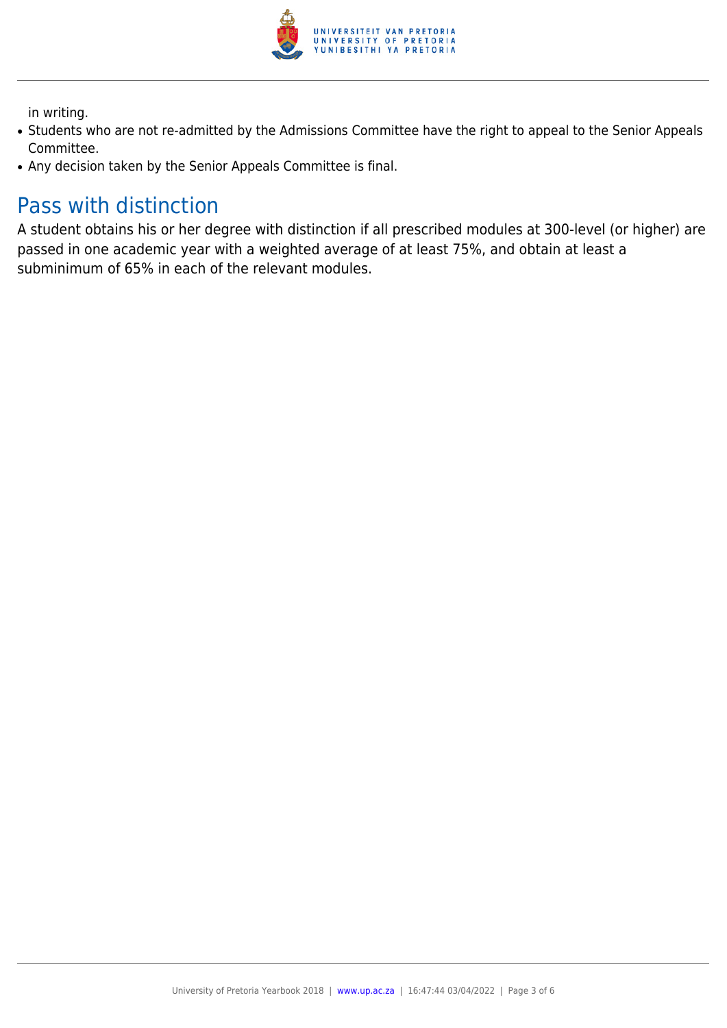

in writing.

- Students who are not re-admitted by the Admissions Committee have the right to appeal to the Senior Appeals Committee.
- Any decision taken by the Senior Appeals Committee is final.

# Pass with distinction

A student obtains his or her degree with distinction if all prescribed modules at 300-level (or higher) are passed in one academic year with a weighted average of at least 75%, and obtain at least a subminimum of 65% in each of the relevant modules.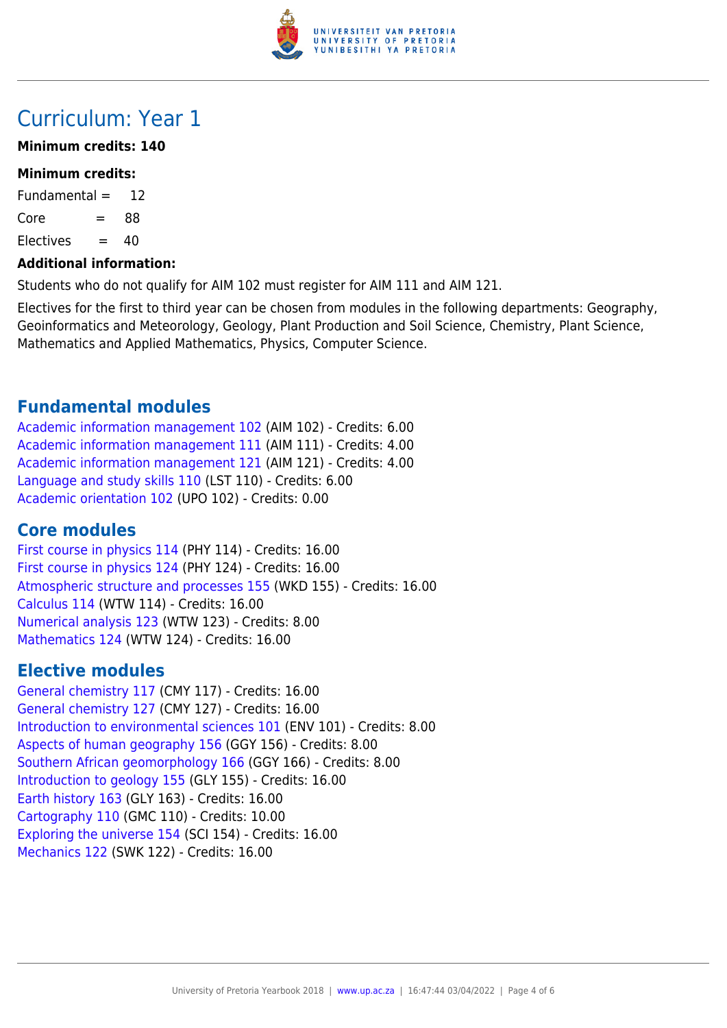

# Curriculum: Year 1

### **Minimum credits: 140**

### **Minimum credits:**

Fundamental  $=$  12  $Core = 88$  $F$ lectives  $= 40$ 

### **Additional information:**

Students who do not qualify for AIM 102 must register for AIM 111 and AIM 121.

Electives for the first to third year can be chosen from modules in the following departments: Geography, Geoinformatics and Meteorology, Geology, Plant Production and Soil Science, Chemistry, Plant Science, Mathematics and Applied Mathematics, Physics, Computer Science.

### **Fundamental modules**

[Academic information management 102](https://www.up.ac.za/yearbooks/2018/modules/view/AIM 102) (AIM 102) - Credits: 6.00 [Academic information management 111](https://www.up.ac.za/yearbooks/2018/modules/view/AIM 111) (AIM 111) - Credits: 4.00 [Academic information management 121](https://www.up.ac.za/yearbooks/2018/modules/view/AIM 121) (AIM 121) - Credits: 4.00 [Language and study skills 110](https://www.up.ac.za/yearbooks/2018/modules/view/LST 110) (LST 110) - Credits: 6.00 [Academic orientation 102](https://www.up.ac.za/yearbooks/2018/modules/view/UPO 102) (UPO 102) - Credits: 0.00

# **Core modules**

[First course in physics 114](https://www.up.ac.za/yearbooks/2018/modules/view/PHY 114) (PHY 114) - Credits: 16.00 [First course in physics 124](https://www.up.ac.za/yearbooks/2018/modules/view/PHY 124) (PHY 124) - Credits: 16.00 [Atmospheric structure and processes 155](https://www.up.ac.za/yearbooks/2018/modules/view/WKD 155) (WKD 155) - Credits: 16.00 [Calculus 114](https://www.up.ac.za/yearbooks/2018/modules/view/WTW 114) (WTW 114) - Credits: 16.00 [Numerical analysis 123](https://www.up.ac.za/yearbooks/2018/modules/view/WTW 123) (WTW 123) - Credits: 8.00 [Mathematics 124](https://www.up.ac.za/yearbooks/2018/modules/view/WTW 124) (WTW 124) - Credits: 16.00

# **Elective modules**

[General chemistry 117](https://www.up.ac.za/yearbooks/2018/modules/view/CMY 117) (CMY 117) - Credits: 16.00 [General chemistry 127](https://www.up.ac.za/yearbooks/2018/modules/view/CMY 127) (CMY 127) - Credits: 16.00 [Introduction to environmental sciences 101](https://www.up.ac.za/yearbooks/2018/modules/view/ENV 101) (ENV 101) - Credits: 8.00 [Aspects of human geography 156](https://www.up.ac.za/yearbooks/2018/modules/view/GGY 156) (GGY 156) - Credits: 8.00 [Southern African geomorphology 166](https://www.up.ac.za/yearbooks/2018/modules/view/GGY 166) (GGY 166) - Credits: 8.00 [Introduction to geology 155](https://www.up.ac.za/yearbooks/2018/modules/view/GLY 155) (GLY 155) - Credits: 16.00 [Earth history 163](https://www.up.ac.za/yearbooks/2018/modules/view/GLY 163) (GLY 163) - Credits: 16.00 [Cartography 110](https://www.up.ac.za/yearbooks/2018/modules/view/GMC 110) (GMC 110) - Credits: 10.00 [Exploring the universe 154](https://www.up.ac.za/yearbooks/2018/modules/view/SCI 154) (SCI 154) - Credits: 16.00 [Mechanics 122](https://www.up.ac.za/yearbooks/2018/modules/view/SWK 122) (SWK 122) - Credits: 16.00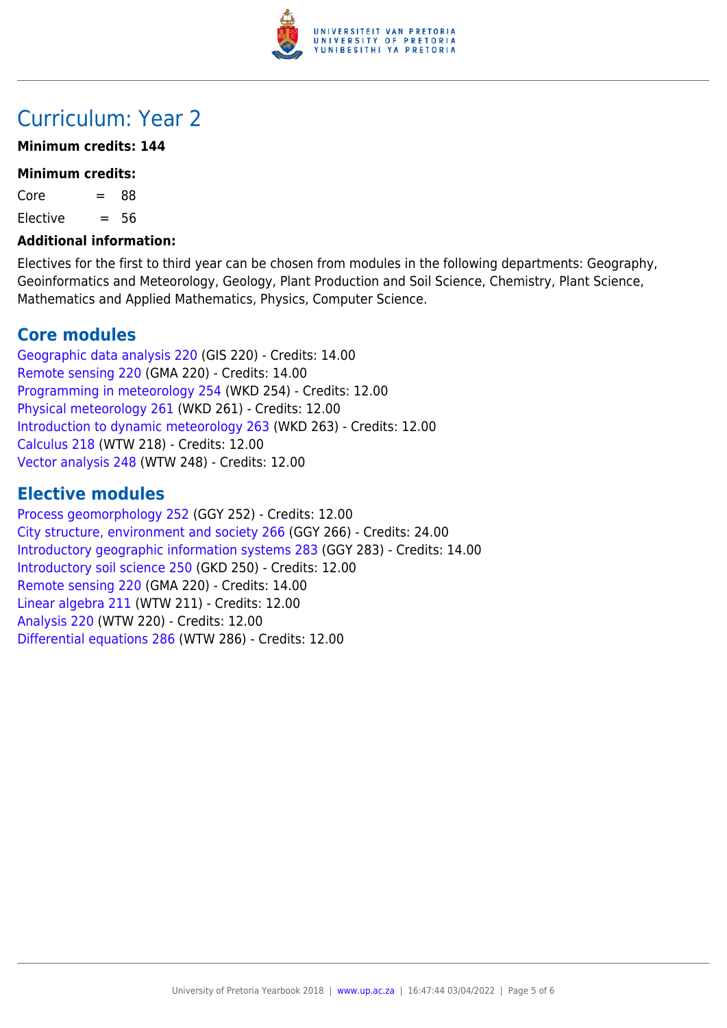

# Curriculum: Year 2

### **Minimum credits: 144**

#### **Minimum credits:**

 $Core = 88$ 

 $E$ lective  $= 56$ 

#### **Additional information:**

Electives for the first to third year can be chosen from modules in the following departments: Geography, Geoinformatics and Meteorology, Geology, Plant Production and Soil Science, Chemistry, Plant Science, Mathematics and Applied Mathematics, Physics, Computer Science.

# **Core modules**

[Geographic data analysis 220](https://www.up.ac.za/yearbooks/2018/modules/view/GIS 220) (GIS 220) - Credits: 14.00 [Remote sensing 220](https://www.up.ac.za/yearbooks/2018/modules/view/GMA 220) (GMA 220) - Credits: 14.00 [Programming in meteorology 254](https://www.up.ac.za/yearbooks/2018/modules/view/WKD 254) (WKD 254) - Credits: 12.00 [Physical meteorology 261](https://www.up.ac.za/yearbooks/2018/modules/view/WKD 261) (WKD 261) - Credits: 12.00 [Introduction to dynamic meteorology 263](https://www.up.ac.za/yearbooks/2018/modules/view/WKD 263) (WKD 263) - Credits: 12.00 [Calculus 218](https://www.up.ac.za/yearbooks/2018/modules/view/WTW 218) (WTW 218) - Credits: 12.00 [Vector analysis 248](https://www.up.ac.za/yearbooks/2018/modules/view/WTW 248) (WTW 248) - Credits: 12.00

### **Elective modules**

[Process geomorphology 252](https://www.up.ac.za/yearbooks/2018/modules/view/GGY 252) (GGY 252) - Credits: 12.00 [City structure, environment and society 266](https://www.up.ac.za/yearbooks/2018/modules/view/GGY 266) (GGY 266) - Credits: 24.00 [Introductory geographic information systems 283](https://www.up.ac.za/yearbooks/2018/modules/view/GGY 283) (GGY 283) - Credits: 14.00 [Introductory soil science 250](https://www.up.ac.za/yearbooks/2018/modules/view/GKD 250) (GKD 250) - Credits: 12.00 [Remote sensing 220](https://www.up.ac.za/yearbooks/2018/modules/view/GMA 220) (GMA 220) - Credits: 14.00 [Linear algebra 211](https://www.up.ac.za/yearbooks/2018/modules/view/WTW 211) (WTW 211) - Credits: 12.00 [Analysis 220](https://www.up.ac.za/yearbooks/2018/modules/view/WTW 220) (WTW 220) - Credits: 12.00 [Differential equations 286](https://www.up.ac.za/yearbooks/2018/modules/view/WTW 286) (WTW 286) - Credits: 12.00